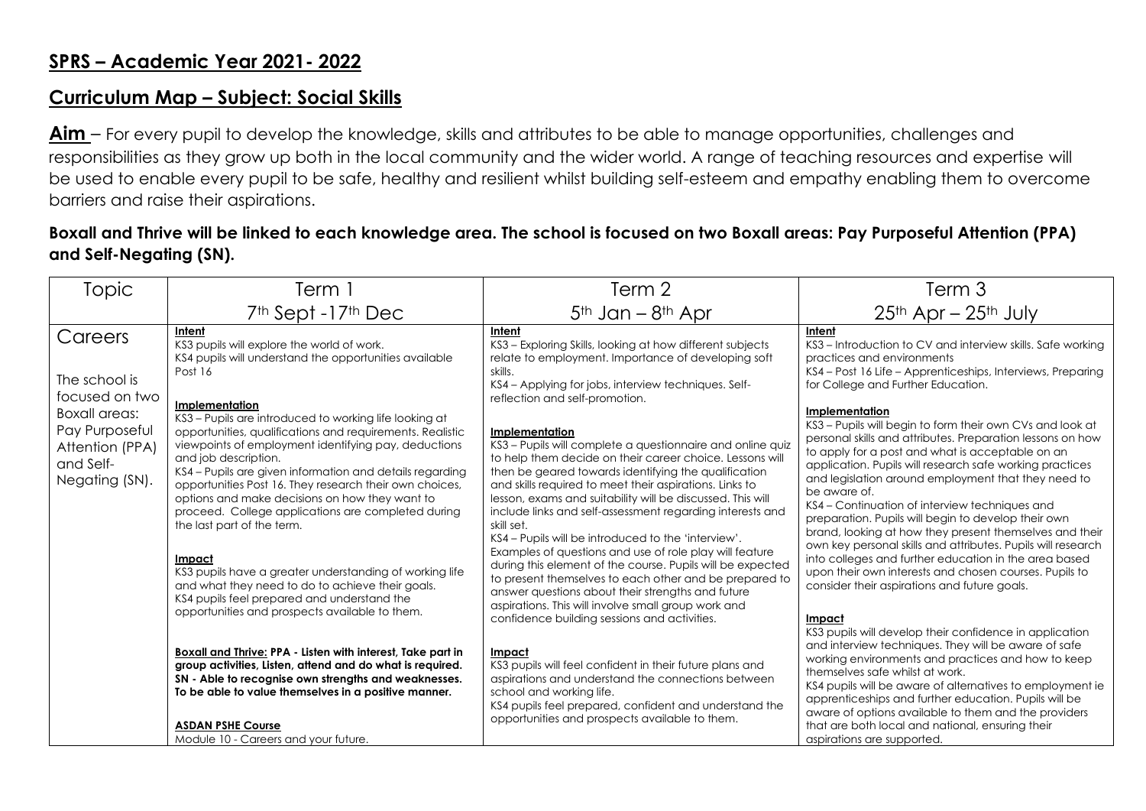## **Curriculum Map – Subject: Social Skills**

**Aim** – For every pupil to develop the knowledge, skills and attributes to be able to manage opportunities, challenges and responsibilities as they grow up both in the local community and the wider world. A range of teaching resources and expertise will be used to enable every pupil to be safe, healthy and resilient whilst building self-esteem and empathy enabling them to overcome barriers and raise their aspirations.

## **Boxall and Thrive will be linked to each knowledge area. The school is focused on two Boxall areas: Pay Purposeful Attention (PPA) and Self-Negating (SN).**

| Topic                                                                                    | Term 1                                                                                                                                                                                                                                                                                                                                                                                                                                                                                                                                                                                                                                                                                                       | Term 2                                                                                                                                                                                                                                                                                                                                                                                                                                                                                                                                                                                                                                                                                                                                                            | Term 3                                                                                                                                                                                                                                                                                                                                                                                                                                                                                                                                                                                                                                                                                                                                         |
|------------------------------------------------------------------------------------------|--------------------------------------------------------------------------------------------------------------------------------------------------------------------------------------------------------------------------------------------------------------------------------------------------------------------------------------------------------------------------------------------------------------------------------------------------------------------------------------------------------------------------------------------------------------------------------------------------------------------------------------------------------------------------------------------------------------|-------------------------------------------------------------------------------------------------------------------------------------------------------------------------------------------------------------------------------------------------------------------------------------------------------------------------------------------------------------------------------------------------------------------------------------------------------------------------------------------------------------------------------------------------------------------------------------------------------------------------------------------------------------------------------------------------------------------------------------------------------------------|------------------------------------------------------------------------------------------------------------------------------------------------------------------------------------------------------------------------------------------------------------------------------------------------------------------------------------------------------------------------------------------------------------------------------------------------------------------------------------------------------------------------------------------------------------------------------------------------------------------------------------------------------------------------------------------------------------------------------------------------|
|                                                                                          | 7 <sup>th</sup> Sept -17 <sup>th</sup> Dec                                                                                                                                                                                                                                                                                                                                                                                                                                                                                                                                                                                                                                                                   | $5th$ Jan – $8th$ Apr                                                                                                                                                                                                                                                                                                                                                                                                                                                                                                                                                                                                                                                                                                                                             | $25th$ Apr – $25th$ July                                                                                                                                                                                                                                                                                                                                                                                                                                                                                                                                                                                                                                                                                                                       |
| Careers<br>The school is<br>focused on two                                               | Intent<br>KS3 pupils will explore the world of work.<br>KS4 pupils will understand the opportunities available<br>Post 16                                                                                                                                                                                                                                                                                                                                                                                                                                                                                                                                                                                    | Intent<br>KS3 - Exploring Skills, looking at how different subjects<br>relate to employment. Importance of developing soft<br>skills.<br>KS4 – Applying for jobs, interview techniques. Self-<br>reflection and self-promotion.                                                                                                                                                                                                                                                                                                                                                                                                                                                                                                                                   | Intent<br>KS3 – Introduction to CV and interview skills. Safe working<br>practices and environments<br>KS4 – Post 16 Life – Apprenticeships, Interviews, Preparing<br>for College and Further Education.                                                                                                                                                                                                                                                                                                                                                                                                                                                                                                                                       |
| <b>Boxall areas:</b><br>Pay Purposeful<br>Attention (PPA)<br>and Self-<br>Negating (SN). | Implementation<br>KS3 - Pupils are introduced to working life looking at<br>opportunities, qualifications and requirements. Realistic<br>viewpoints of employment identifying pay, deductions<br>and job description.<br>KS4 - Pupils are given information and details regarding<br>opportunities Post 16. They research their own choices,<br>options and make decisions on how they want to<br>proceed. College applications are completed during<br>the last part of the term.<br>Impact<br>KS3 pupils have a greater understanding of working life<br>and what they need to do to achieve their goals.<br>KS4 pupils feel prepared and understand the<br>opportunities and prospects available to them. | <b>Implementation</b><br>KS3 – Pupils will complete a questionnaire and online quiz<br>to help them decide on their career choice. Lessons will<br>then be geared towards identifying the qualification<br>and skills required to meet their aspirations. Links to<br>lesson, exams and suitability will be discussed. This will<br>include links and self-assessment regarding interests and<br>skill set.<br>KS4 - Pupils will be introduced to the 'interview'.<br>Examples of questions and use of role play will feature<br>during this element of the course. Pupils will be expected<br>to present themselves to each other and be prepared to<br>answer questions about their strengths and future<br>aspirations. This will involve small group work and | <b>Implementation</b><br>KS3 - Pupils will begin to form their own CVs and look at<br>personal skills and attributes. Preparation lessons on how<br>to apply for a post and what is acceptable on an<br>application. Pupils will research safe working practices<br>and legislation around employment that they need to<br>be aware of.<br>KS4 – Continuation of interview techniques and<br>preparation. Pupils will begin to develop their own<br>brand, looking at how they present themselves and their<br>own key personal skills and attributes. Pupils will research<br>into colleges and further education in the area based<br>upon their own interests and chosen courses. Pupils to<br>consider their aspirations and future goals. |
|                                                                                          | <b>Boxall and Thrive: PPA - Listen with interest, Take part in</b><br>group activities, Listen, attend and do what is required.<br>SN - Able to recognise own strengths and weaknesses.<br>To be able to value themselves in a positive manner.<br><b>ASDAN PSHE Course</b><br>Module 10 - Careers and your future.                                                                                                                                                                                                                                                                                                                                                                                          | confidence building sessions and activities.<br>Impact<br>KS3 pupils will feel confident in their future plans and<br>aspirations and understand the connections between<br>school and working life.<br>KS4 pupils feel prepared, confident and understand the<br>opportunities and prospects available to them.                                                                                                                                                                                                                                                                                                                                                                                                                                                  | Impact<br>KS3 pupils will develop their confidence in application<br>and interview techniques. They will be aware of safe<br>working environments and practices and how to keep<br>themselves safe whilst at work.<br>KS4 pupils will be aware of alternatives to employment ie<br>apprenticeships and further education. Pupils will be<br>aware of options available to them and the providers<br>that are both local and national, ensuring their<br>aspirations are supported.                                                                                                                                                                                                                                                             |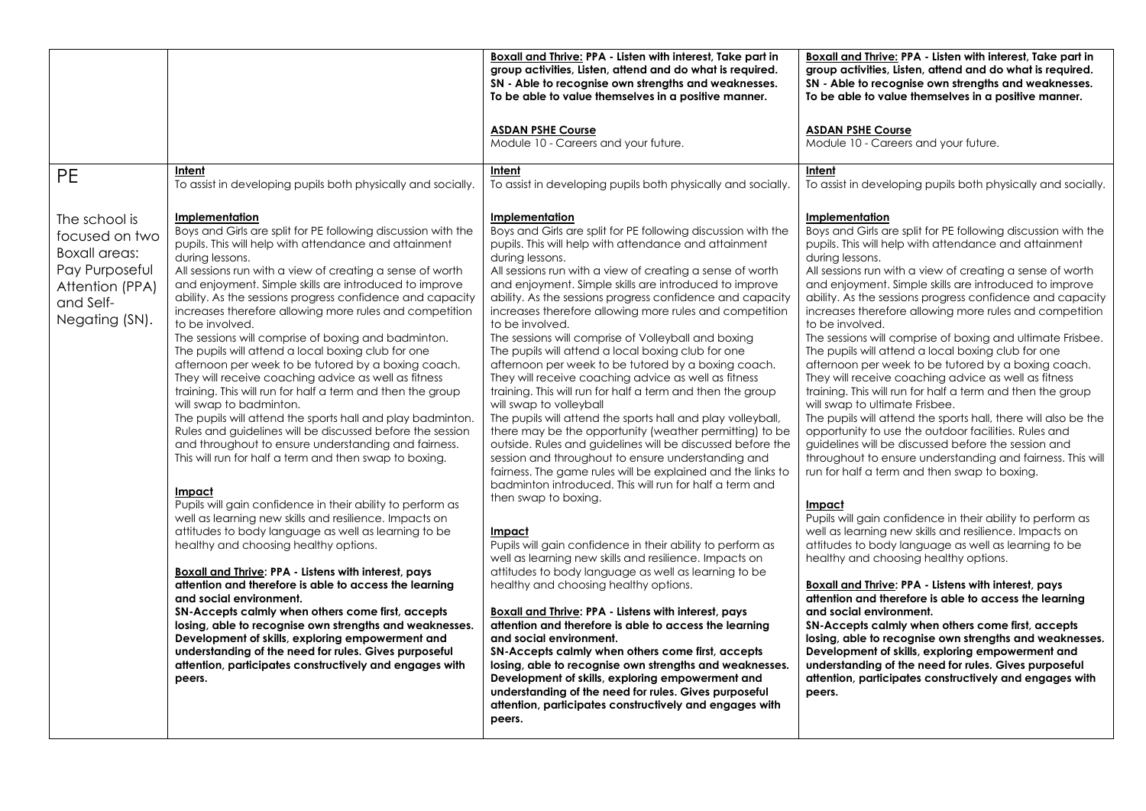|                                                                                                                             |                                                                                                                                                                                                                                                                                                                                                                                                                                                                                                                                                                                                                                                                                                                                                                                                                                                                                                                                                                                                                                                                                                                                                                                                                                                                                                                                                                                                                                                                                                                                                                                                                                                                                          | Boxall and Thrive: PPA - Listen with interest, Take part in<br>group activities, Listen, attend and do what is required.<br>SN - Able to recognise own strengths and weaknesses.<br>To be able to value themselves in a positive manner.                                                                                                                                                                                                                                                                                                                                                                                                                                                                                                                                                                                                                                                                                                                                                                                                                                                                                                                                                                                                                                                                                                                                                                                                                                                                                                                                                                                                                                                                                                                                                                                             | Boxall and Thrive: PPA - Listen with interest, Take part in<br>group activities, Listen, attend and do what is required.<br>SN - Able to recognise own strengths and weaknesses.<br>To be able to value themselves in a positive manner.                                                                                                                                                                                                                                                                                                                                                                                                                                                                                                                                                                                                                                                                                                                                                                                                                                                                                                                                                                                                                                                                                                                                                                                                                                                                                                                                                                                                                                                                                                          |
|-----------------------------------------------------------------------------------------------------------------------------|------------------------------------------------------------------------------------------------------------------------------------------------------------------------------------------------------------------------------------------------------------------------------------------------------------------------------------------------------------------------------------------------------------------------------------------------------------------------------------------------------------------------------------------------------------------------------------------------------------------------------------------------------------------------------------------------------------------------------------------------------------------------------------------------------------------------------------------------------------------------------------------------------------------------------------------------------------------------------------------------------------------------------------------------------------------------------------------------------------------------------------------------------------------------------------------------------------------------------------------------------------------------------------------------------------------------------------------------------------------------------------------------------------------------------------------------------------------------------------------------------------------------------------------------------------------------------------------------------------------------------------------------------------------------------------------|--------------------------------------------------------------------------------------------------------------------------------------------------------------------------------------------------------------------------------------------------------------------------------------------------------------------------------------------------------------------------------------------------------------------------------------------------------------------------------------------------------------------------------------------------------------------------------------------------------------------------------------------------------------------------------------------------------------------------------------------------------------------------------------------------------------------------------------------------------------------------------------------------------------------------------------------------------------------------------------------------------------------------------------------------------------------------------------------------------------------------------------------------------------------------------------------------------------------------------------------------------------------------------------------------------------------------------------------------------------------------------------------------------------------------------------------------------------------------------------------------------------------------------------------------------------------------------------------------------------------------------------------------------------------------------------------------------------------------------------------------------------------------------------------------------------------------------------|---------------------------------------------------------------------------------------------------------------------------------------------------------------------------------------------------------------------------------------------------------------------------------------------------------------------------------------------------------------------------------------------------------------------------------------------------------------------------------------------------------------------------------------------------------------------------------------------------------------------------------------------------------------------------------------------------------------------------------------------------------------------------------------------------------------------------------------------------------------------------------------------------------------------------------------------------------------------------------------------------------------------------------------------------------------------------------------------------------------------------------------------------------------------------------------------------------------------------------------------------------------------------------------------------------------------------------------------------------------------------------------------------------------------------------------------------------------------------------------------------------------------------------------------------------------------------------------------------------------------------------------------------------------------------------------------------------------------------------------------------|
|                                                                                                                             |                                                                                                                                                                                                                                                                                                                                                                                                                                                                                                                                                                                                                                                                                                                                                                                                                                                                                                                                                                                                                                                                                                                                                                                                                                                                                                                                                                                                                                                                                                                                                                                                                                                                                          | <b>ASDAN PSHE Course</b><br>Module 10 - Careers and your future.                                                                                                                                                                                                                                                                                                                                                                                                                                                                                                                                                                                                                                                                                                                                                                                                                                                                                                                                                                                                                                                                                                                                                                                                                                                                                                                                                                                                                                                                                                                                                                                                                                                                                                                                                                     | <b>ASDAN PSHE Course</b><br>Module 10 - Careers and your future.                                                                                                                                                                                                                                                                                                                                                                                                                                                                                                                                                                                                                                                                                                                                                                                                                                                                                                                                                                                                                                                                                                                                                                                                                                                                                                                                                                                                                                                                                                                                                                                                                                                                                  |
| <b>PE</b>                                                                                                                   | Intent<br>To assist in developing pupils both physically and socially.                                                                                                                                                                                                                                                                                                                                                                                                                                                                                                                                                                                                                                                                                                                                                                                                                                                                                                                                                                                                                                                                                                                                                                                                                                                                                                                                                                                                                                                                                                                                                                                                                   | Intent<br>To assist in developing pupils both physically and socially.                                                                                                                                                                                                                                                                                                                                                                                                                                                                                                                                                                                                                                                                                                                                                                                                                                                                                                                                                                                                                                                                                                                                                                                                                                                                                                                                                                                                                                                                                                                                                                                                                                                                                                                                                               | Intent<br>To assist in developing pupils both physically and socially.                                                                                                                                                                                                                                                                                                                                                                                                                                                                                                                                                                                                                                                                                                                                                                                                                                                                                                                                                                                                                                                                                                                                                                                                                                                                                                                                                                                                                                                                                                                                                                                                                                                                            |
| The school is<br>focused on two<br><b>Boxall areas:</b><br>Pay Purposeful<br>Attention (PPA)<br>and Self-<br>Negating (SN). | Implementation<br>Boys and Girls are split for PE following discussion with the<br>pupils. This will help with attendance and attainment<br>during lessons.<br>All sessions run with a view of creating a sense of worth<br>and enjoyment. Simple skills are introduced to improve<br>ability. As the sessions progress confidence and capacity<br>increases therefore allowing more rules and competition<br>to be involved.<br>The sessions will comprise of boxing and badminton.<br>The pupils will attend a local boxing club for one<br>afternoon per week to be tutored by a boxing coach.<br>They will receive coaching advice as well as fitness<br>training. This will run for half a term and then the group<br>will swap to badminton.<br>The pupils will attend the sports hall and play badminton.<br>Rules and guidelines will be discussed before the session<br>and throughout to ensure understanding and fairness.<br>This will run for half a term and then swap to boxing.<br>Impact<br>Pupils will gain confidence in their ability to perform as<br>well as learning new skills and resilience. Impacts on<br>attitudes to body language as well as learning to be<br>healthy and choosing healthy options.<br><b>Boxall and Thrive: PPA - Listens with interest, pays</b><br>attention and therefore is able to access the learning<br>and social environment.<br>SN-Accepts calmly when others come first, accepts<br>losing, able to recognise own strengths and weaknesses.<br>Development of skills, exploring empowerment and<br>understanding of the need for rules. Gives purposeful<br>attention, participates constructively and engages with<br>peers. | Implementation<br>Boys and Girls are split for PE following discussion with the<br>pupils. This will help with attendance and attainment<br>during lessons.<br>All sessions run with a view of creating a sense of worth<br>and enjoyment. Simple skills are introduced to improve<br>ability. As the sessions progress confidence and capacity<br>increases therefore allowing more rules and competition<br>to be involved.<br>The sessions will comprise of Volleyball and boxing<br>The pupils will attend a local boxing club for one<br>afternoon per week to be tutored by a boxing coach.<br>They will receive coaching advice as well as fitness<br>training. This will run for half a term and then the group<br>will swap to volleyball<br>The pupils will attend the sports hall and play volleyball,<br>there may be the opportunity (weather permitting) to be<br>outside. Rules and guidelines will be discussed before the<br>session and throughout to ensure understanding and<br>fairness. The game rules will be explained and the links to<br>badminton introduced. This will run for half a term and<br>then swap to boxing.<br>Impact<br>Pupils will gain confidence in their ability to perform as<br>well as learning new skills and resilience. Impacts on<br>attitudes to body language as well as learning to be<br>healthy and choosing healthy options.<br>Boxall and Thrive: PPA - Listens with interest, pays<br>attention and therefore is able to access the learning<br>and social environment.<br>SN-Accepts calmly when others come first, accepts<br>losing, able to recognise own strengths and weaknesses.<br>Development of skills, exploring empowerment and<br>understanding of the need for rules. Gives purposeful<br>attention, participates constructively and engages with<br>peers. | Implementation<br>Boys and Girls are split for PE following discussion with the<br>pupils. This will help with attendance and attainment<br>during lessons.<br>All sessions run with a view of creating a sense of worth<br>and enjoyment. Simple skills are introduced to improve<br>ability. As the sessions progress confidence and capacity<br>increases therefore allowing more rules and competition<br>to be involved.<br>The sessions will comprise of boxing and ultimate Frisbee.<br>The pupils will attend a local boxing club for one<br>afternoon per week to be tutored by a boxing coach.<br>They will receive coaching advice as well as fitness<br>training. This will run for half a term and then the group<br>will swap to ultimate Frisbee.<br>The pupils will attend the sports hall, there will also be the<br>opportunity to use the outdoor facilities. Rules and<br>guidelines will be discussed before the session and<br>throughout to ensure understanding and fairness. This will<br>run for half a term and then swap to boxing.<br>Impact<br>Pupils will gain confidence in their ability to perform as<br>well as learning new skills and resilience. Impacts on<br>attitudes to body language as well as learning to be<br>healthy and choosing healthy options.<br>Boxall and Thrive: PPA - Listens with interest, pays<br>attention and therefore is able to access the learning<br>and social environment.<br>SN-Accepts calmly when others come first, accepts<br>losing, able to recognise own strengths and weaknesses.<br>Development of skills, exploring empowerment and<br>understanding of the need for rules. Gives purposeful<br>attention, participates constructively and engages with<br>peers. |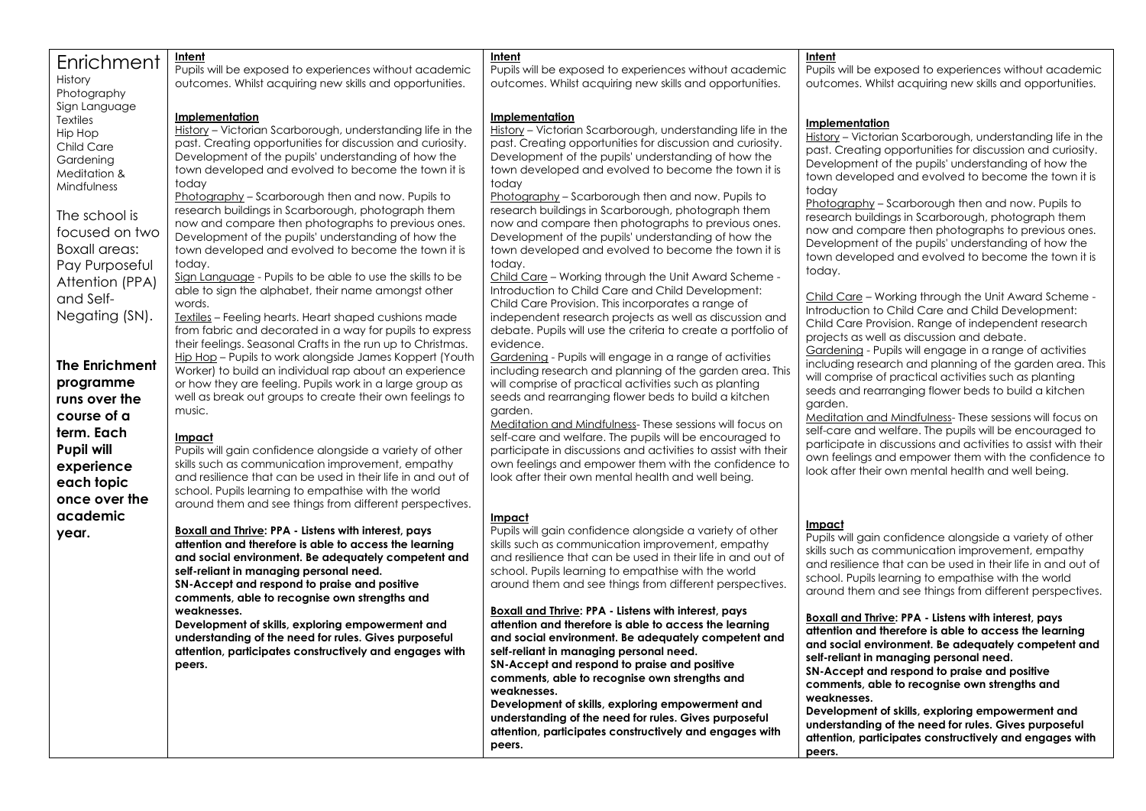| Enrichment             | Intent                                                                                                           | Intent                                                                                                        | Intent                                                                                                              |
|------------------------|------------------------------------------------------------------------------------------------------------------|---------------------------------------------------------------------------------------------------------------|---------------------------------------------------------------------------------------------------------------------|
|                        | Pupils will be exposed to experiences without academic                                                           | Pupils will be exposed to experiences without academic                                                        | Pupils will be exposed to experiences without academic                                                              |
| History<br>Photography | outcomes. Whilst acquiring new skills and opportunities.                                                         | outcomes. Whilst acquiring new skills and opportunities.                                                      | outcomes. Whilst acquiring new skills and opportunities.                                                            |
| Sign Language          |                                                                                                                  |                                                                                                               |                                                                                                                     |
| Textiles               | Implementation                                                                                                   | <u>Implementation</u>                                                                                         | Implementation                                                                                                      |
| Hip Hop                | History - Victorian Scarborough, understanding life in the                                                       | History - Victorian Scarborough, understanding life in the                                                    | History - Victorian Scarborough, understanding life in the                                                          |
| Child Care             | past. Creating opportunities for discussion and curiosity.                                                       | past. Creating opportunities for discussion and curiosity.                                                    | past. Creating opportunities for discussion and curiosity.                                                          |
| Gardening              | Development of the pupils' understanding of how the                                                              | Development of the pupils' understanding of how the                                                           | Development of the pupils' understanding of how the                                                                 |
| Meditation &           | town developed and evolved to become the town it is<br>today                                                     | town developed and evolved to become the town it is<br>today                                                  | town developed and evolved to become the town it is                                                                 |
| Mindfulness            | Photography - Scarborough then and now. Pupils to                                                                | Photography - Scarborough then and now. Pupils to                                                             | today                                                                                                               |
|                        | research buildings in Scarborough, photograph them                                                               | research buildings in Scarborough, photograph them                                                            | Photography - Scarborough then and now. Pupils to                                                                   |
| The school is          | now and compare then photographs to previous ones.                                                               | now and compare then photographs to previous ones.                                                            | research buildings in Scarborough, photograph them                                                                  |
| focused on two         | Development of the pupils' understanding of how the                                                              | Development of the pupils' understanding of how the                                                           | now and compare then photographs to previous ones.<br>Development of the pupils' understanding of how the           |
| Boxall areas:          | town developed and evolved to become the town it is                                                              | town developed and evolved to become the town it is                                                           | town developed and evolved to become the town it is                                                                 |
| Pay Purposeful         | today.                                                                                                           | today.                                                                                                        | today.                                                                                                              |
| Attention (PPA)        | Sign Language - Pupils to be able to use the skills to be                                                        | Child Care - Working through the Unit Award Scheme -                                                          |                                                                                                                     |
| and Self-              | able to sign the alphabet, their name amongst other<br>words.                                                    | Introduction to Child Care and Child Development:<br>Child Care Provision. This incorporates a range of       | Child Care - Working through the Unit Award Scheme -                                                                |
| Negating (SN).         | Textiles - Feeling hearts. Heart shaped cushions made                                                            | independent research projects as well as discussion and                                                       | Introduction to Child Care and Child Development:                                                                   |
|                        | from fabric and decorated in a way for pupils to express                                                         | debate. Pupils will use the criteria to create a portfolio of                                                 | Child Care Provision. Range of independent research                                                                 |
|                        | their feelings. Seasonal Crafts in the run up to Christmas.                                                      | evidence.                                                                                                     | projects as well as discussion and debate.                                                                          |
|                        | Hip Hop - Pupils to work alongside James Koppert (Youth                                                          | Gardening - Pupils will engage in a range of activities                                                       | Gardening - Pupils will engage in a range of activities<br>including research and planning of the garden area. This |
| <b>The Enrichment</b>  | Worker) to build an individual rap about an experience                                                           | including research and planning of the garden area. This                                                      | will comprise of practical activities such as planting                                                              |
| programme              | or how they are feeling. Pupils work in a large group as                                                         | will comprise of practical activities such as planting                                                        | seeds and rearranging flower beds to build a kitchen                                                                |
| runs over the          | well as break out groups to create their own feelings to                                                         | seeds and rearranging flower beds to build a kitchen                                                          | garden.                                                                                                             |
| course of a            | music.                                                                                                           | garden.<br>Meditation and Mindfulness-These sessions will focus on                                            | Meditation and Mindfulness-These sessions will focus on                                                             |
| term. Each             | Impact                                                                                                           | self-care and welfare. The pupils will be encouraged to                                                       | self-care and welfare. The pupils will be encouraged to                                                             |
| <b>Pupil will</b>      | Pupils will gain confidence alongside a variety of other                                                         | participate in discussions and activities to assist with their                                                | participate in discussions and activities to assist with their                                                      |
| experience             | skills such as communication improvement, empathy                                                                | own feelings and empower them with the confidence to                                                          | own feelings and empower them with the confidence to<br>look after their own mental health and well being.          |
| each topic             | and resilience that can be used in their life in and out of                                                      | look after their own mental health and well being.                                                            |                                                                                                                     |
| once over the          | school. Pupils learning to empathise with the world                                                              |                                                                                                               |                                                                                                                     |
| academic               | around them and see things from different perspectives.                                                          |                                                                                                               |                                                                                                                     |
|                        | Boxall and Thrive: PPA - Listens with interest, pays                                                             | <u>Impact</u><br>Pupils will gain confidence alongside a variety of other                                     | Impact                                                                                                              |
| year.                  | attention and therefore is able to access the learning                                                           | skills such as communication improvement, empathy                                                             | Pupils will gain confidence alongside a variety of other                                                            |
|                        | and social environment. Be adequately competent and                                                              | and resilience that can be used in their life in and out of                                                   | skills such as communication improvement, empathy                                                                   |
|                        | self-reliant in managing personal need.                                                                          | school. Pupils learning to empathise with the world                                                           | and resilience that can be used in their life in and out of<br>school. Pupils learning to empathise with the world  |
|                        | SN-Accept and respond to praise and positive                                                                     | around them and see things from different perspectives.                                                       | around them and see things from different perspectives.                                                             |
|                        | comments, able to recognise own strengths and                                                                    |                                                                                                               |                                                                                                                     |
|                        | weaknesses.                                                                                                      | <b>Boxall and Thrive: PPA - Listens with interest, pays</b>                                                   | <b>Boxall and Thrive: PPA - Listens with interest, pays</b>                                                         |
|                        | Development of skills, exploring empowerment and                                                                 | attention and therefore is able to access the learning<br>and social environment. Be adequately competent and | attention and therefore is able to access the learning                                                              |
|                        | understanding of the need for rules. Gives purposeful<br>attention, participates constructively and engages with | self-reliant in managing personal need.                                                                       | and social environment. Be adequately competent and                                                                 |
|                        | peers.                                                                                                           | SN-Accept and respond to praise and positive                                                                  | self-reliant in managing personal need.                                                                             |
|                        |                                                                                                                  | comments, able to recognise own strengths and                                                                 | SN-Accept and respond to praise and positive                                                                        |
|                        |                                                                                                                  | weaknesses.                                                                                                   | comments, able to recognise own strengths and<br>weaknesses.                                                        |
|                        |                                                                                                                  | Development of skills, exploring empowerment and                                                              | Development of skills, exploring empowerment and                                                                    |
|                        |                                                                                                                  | understanding of the need for rules. Gives purposeful                                                         | understanding of the need for rules. Gives purposeful                                                               |
|                        |                                                                                                                  | attention, participates constructively and engages with                                                       | attention, participates constructively and engages with                                                             |
|                        |                                                                                                                  | peers.                                                                                                        | peers.                                                                                                              |
|                        |                                                                                                                  |                                                                                                               |                                                                                                                     |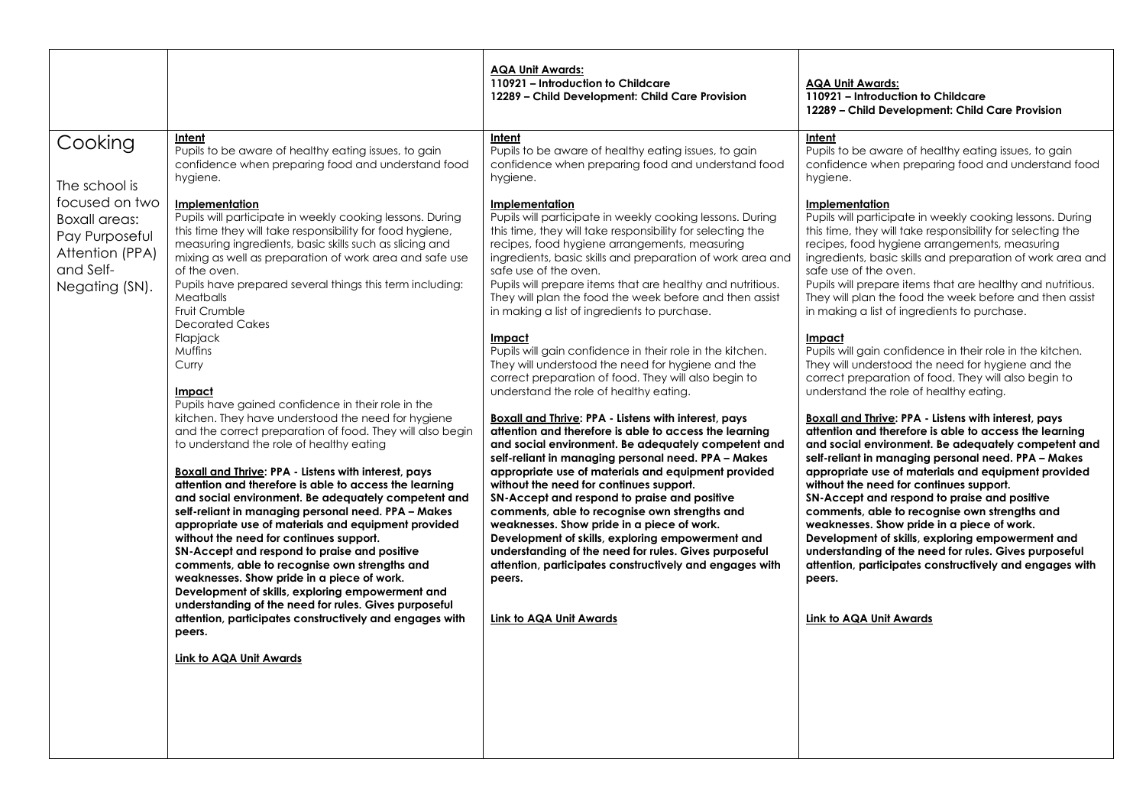|                                                                                                                                        |                                                                                                                                                                                                                                                                                                                                                                                                                                                                                                                                                                                                                                                                                                                                                                                                                                                                                                                                                                                                                                                                                                                                                                                                                                                                                                                                                                                                                                                                                                                   | <b>AQA Unit Awards:</b><br>110921 - Introduction to Childcare<br>12289 - Child Development: Child Care Provision                                                                                                                                                                                                                                                                                                                                                                                                                                                                                                                                                                                                                                                                                                                                                                                                                                                                                                                                                                                                                                                                                                                                                                                                                                                                                                                                                                                                           | <b>AQA Unit Awards:</b><br>110921 - Introduction to Childcare<br>12289 - Child Development: Child Care Provision                                                                                                                                                                                                                                                                                                                                                                                                                                                                                                                                                                                                                                                                                                                                                                                                                                                                                                                                                                                                                                                                                                                                                                                                                                                                                                                                                                                                                  |
|----------------------------------------------------------------------------------------------------------------------------------------|-------------------------------------------------------------------------------------------------------------------------------------------------------------------------------------------------------------------------------------------------------------------------------------------------------------------------------------------------------------------------------------------------------------------------------------------------------------------------------------------------------------------------------------------------------------------------------------------------------------------------------------------------------------------------------------------------------------------------------------------------------------------------------------------------------------------------------------------------------------------------------------------------------------------------------------------------------------------------------------------------------------------------------------------------------------------------------------------------------------------------------------------------------------------------------------------------------------------------------------------------------------------------------------------------------------------------------------------------------------------------------------------------------------------------------------------------------------------------------------------------------------------|----------------------------------------------------------------------------------------------------------------------------------------------------------------------------------------------------------------------------------------------------------------------------------------------------------------------------------------------------------------------------------------------------------------------------------------------------------------------------------------------------------------------------------------------------------------------------------------------------------------------------------------------------------------------------------------------------------------------------------------------------------------------------------------------------------------------------------------------------------------------------------------------------------------------------------------------------------------------------------------------------------------------------------------------------------------------------------------------------------------------------------------------------------------------------------------------------------------------------------------------------------------------------------------------------------------------------------------------------------------------------------------------------------------------------------------------------------------------------------------------------------------------------|-----------------------------------------------------------------------------------------------------------------------------------------------------------------------------------------------------------------------------------------------------------------------------------------------------------------------------------------------------------------------------------------------------------------------------------------------------------------------------------------------------------------------------------------------------------------------------------------------------------------------------------------------------------------------------------------------------------------------------------------------------------------------------------------------------------------------------------------------------------------------------------------------------------------------------------------------------------------------------------------------------------------------------------------------------------------------------------------------------------------------------------------------------------------------------------------------------------------------------------------------------------------------------------------------------------------------------------------------------------------------------------------------------------------------------------------------------------------------------------------------------------------------------------|
| Cooking<br>The school is<br>focused on two<br><b>Boxall areas:</b><br>Pay Purposeful<br>Attention (PPA)<br>and Self-<br>Negating (SN). | Intent<br>Pupils to be aware of healthy eating issues, to gain<br>confidence when preparing food and understand food<br>hygiene.<br>Implementation<br>Pupils will participate in weekly cooking lessons. During<br>this time they will take responsibility for food hygiene,<br>measuring ingredients, basic skills such as slicing and<br>mixing as well as preparation of work area and safe use<br>of the oven.<br>Pupils have prepared several things this term including:<br>Meatballs<br>Fruit Crumble<br><b>Decorated Cakes</b><br>Flapjack<br>Muffins<br>Curry<br>Impact<br>Pupils have gained confidence in their role in the<br>kitchen. They have understood the need for hygiene<br>and the correct preparation of food. They will also begin<br>to understand the role of healthy eating<br><b>Boxall and Thrive: PPA - Listens with interest, pays</b><br>attention and therefore is able to access the learning<br>and social environment. Be adequately competent and<br>self-reliant in managing personal need. PPA - Makes<br>appropriate use of materials and equipment provided<br>without the need for continues support.<br>SN-Accept and respond to praise and positive<br>comments, able to recognise own strengths and<br>weaknesses. Show pride in a piece of work.<br>Development of skills, exploring empowerment and<br>understanding of the need for rules. Gives purposeful<br>attention, participates constructively and engages with<br>peers.<br><b>Link to AQA Unit Awards</b> | Intent<br>Pupils to be aware of healthy eating issues, to gain<br>confidence when preparing food and understand food<br>hygiene.<br>Implementation<br>Pupils will participate in weekly cooking lessons. During<br>this time, they will take responsibility for selecting the<br>recipes, food hygiene arrangements, measuring<br>ingredients, basic skills and preparation of work area and<br>safe use of the oven.<br>Pupils will prepare items that are healthy and nutritious.<br>They will plan the food the week before and then assist<br>in making a list of ingredients to purchase.<br>Impact<br>Pupils will gain confidence in their role in the kitchen.<br>They will understood the need for hygiene and the<br>correct preparation of food. They will also begin to<br>understand the role of healthy eating.<br>Boxall and Thrive: PPA - Listens with interest, pays<br>attention and therefore is able to access the learning<br>and social environment. Be adequately competent and<br>self-reliant in managing personal need. PPA - Makes<br>appropriate use of materials and equipment provided<br>without the need for continues support.<br>SN-Accept and respond to praise and positive<br>comments, able to recognise own strengths and<br>weaknesses. Show pride in a piece of work.<br>Development of skills, exploring empowerment and<br>understanding of the need for rules. Gives purposeful<br>attention, participates constructively and engages with<br>peers.<br>Link to AQA Unit Awards | Intent<br>Pupils to be aware of healthy eating issues, to gain<br>confidence when preparing food and understand food<br>hygiene.<br>Implementation<br>Pupils will participate in weekly cooking lessons. During<br>this time, they will take responsibility for selecting the<br>recipes, food hygiene arrangements, measuring<br>ingredients, basic skills and preparation of work area and<br>safe use of the oven.<br>Pupils will prepare items that are healthy and nutritious.<br>They will plan the food the week before and then assist<br>in making a list of ingredients to purchase.<br>Impact<br>Pupils will gain confidence in their role in the kitchen.<br>They will understood the need for hygiene and the<br>correct preparation of food. They will also begin to<br>understand the role of healthy eating.<br><b>Boxall and Thrive: PPA - Listens with interest, pays</b><br>attention and therefore is able to access the learning<br>and social environment. Be adequately competent and<br>self-reliant in managing personal need. PPA - Makes<br>appropriate use of materials and equipment provided<br>without the need for continues support.<br>SN-Accept and respond to praise and positive<br>comments, able to recognise own strengths and<br>weaknesses. Show pride in a piece of work.<br>Development of skills, exploring empowerment and<br>understanding of the need for rules. Gives purposeful<br>attention, participates constructively and engages with<br>peers.<br>Link to AQA Unit Awards |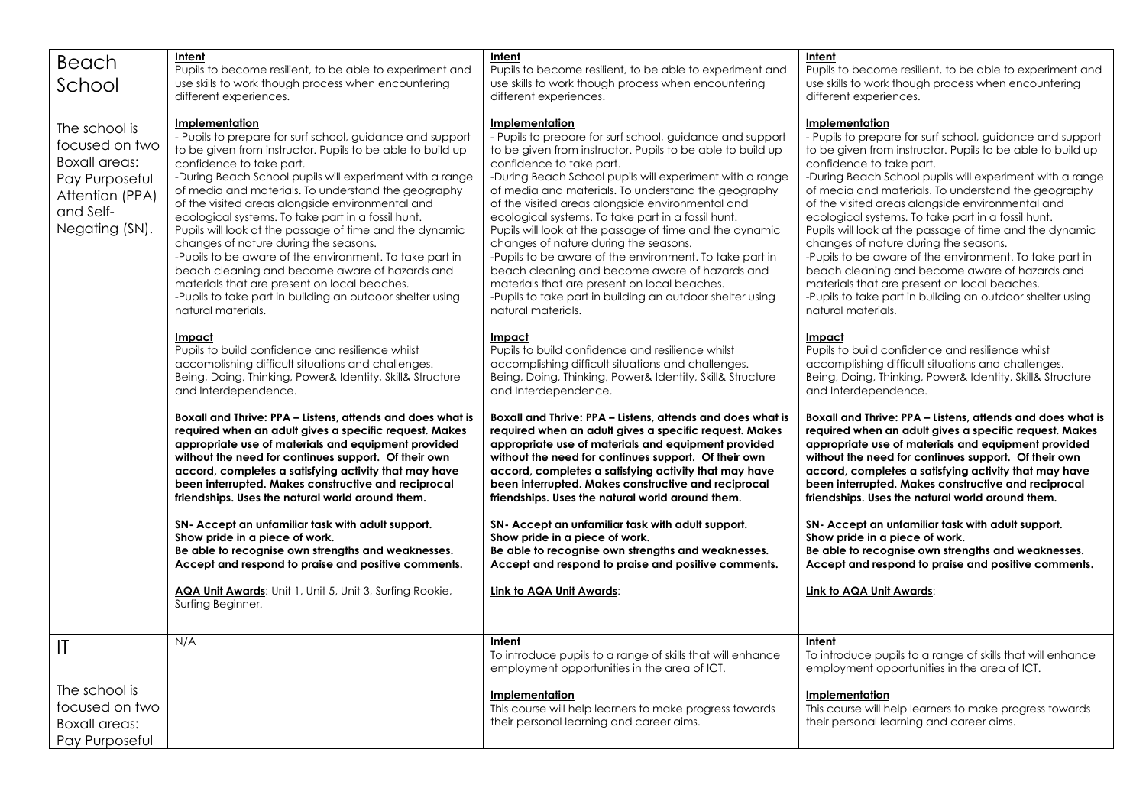|                      | Intent                                                                                                        | Intent                                                                                                        | Intent                                                                                                        |
|----------------------|---------------------------------------------------------------------------------------------------------------|---------------------------------------------------------------------------------------------------------------|---------------------------------------------------------------------------------------------------------------|
| Beach                | Pupils to become resilient, to be able to experiment and                                                      | Pupils to become resilient, to be able to experiment and                                                      | Pupils to become resilient, to be able to experiment and                                                      |
| School               | use skills to work though process when encountering                                                           | use skills to work though process when encountering                                                           | use skills to work though process when encountering                                                           |
|                      | different experiences.                                                                                        | different experiences.                                                                                        | different experiences.                                                                                        |
|                      |                                                                                                               |                                                                                                               |                                                                                                               |
| The school is        | Implementation                                                                                                | Implementation                                                                                                | Implementation                                                                                                |
| focused on two       | - Pupils to prepare for surf school, guidance and support                                                     | - Pupils to prepare for surf school, guidance and support                                                     | - Pupils to prepare for surf school, guidance and support                                                     |
| <b>Boxall areas:</b> | to be given from instructor. Pupils to be able to build up                                                    | to be given from instructor. Pupils to be able to build up<br>confidence to take part.                        | to be given from instructor. Pupils to be able to build up<br>confidence to take part.                        |
|                      | confidence to take part.<br>-During Beach School pupils will experiment with a range                          | -During Beach School pupils will experiment with a range                                                      | -During Beach School pupils will experiment with a range                                                      |
| Pay Purposeful       | of media and materials. To understand the geography                                                           | of media and materials. To understand the geography                                                           | of media and materials. To understand the geography                                                           |
| Attention (PPA)      | of the visited areas alongside environmental and                                                              | of the visited areas alongside environmental and                                                              | of the visited areas alongside environmental and                                                              |
| and Self-            | ecological systems. To take part in a fossil hunt.                                                            | ecological systems. To take part in a fossil hunt.                                                            | ecological systems. To take part in a fossil hunt.                                                            |
| Negating (SN).       | Pupils will look at the passage of time and the dynamic                                                       | Pupils will look at the passage of time and the dynamic                                                       | Pupils will look at the passage of time and the dynamic                                                       |
|                      | changes of nature during the seasons.                                                                         | changes of nature during the seasons.                                                                         | changes of nature during the seasons.                                                                         |
|                      | -Pupils to be aware of the environment. To take part in                                                       | -Pupils to be aware of the environment. To take part in                                                       | -Pupils to be aware of the environment. To take part in                                                       |
|                      | beach cleaning and become aware of hazards and<br>materials that are present on local beaches.                | beach cleaning and become aware of hazards and<br>materials that are present on local beaches.                | beach cleaning and become aware of hazards and<br>materials that are present on local beaches.                |
|                      | -Pupils to take part in building an outdoor shelter using                                                     | -Pupils to take part in building an outdoor shelter using                                                     | -Pupils to take part in building an outdoor shelter using                                                     |
|                      | natural materials.                                                                                            | natural materials.                                                                                            | natural materials.                                                                                            |
|                      |                                                                                                               |                                                                                                               |                                                                                                               |
|                      | Impact                                                                                                        | <b>Impact</b>                                                                                                 | <b>Impact</b>                                                                                                 |
|                      | Pupils to build confidence and resilience whilst                                                              | Pupils to build confidence and resilience whilst                                                              | Pupils to build confidence and resilience whilst                                                              |
|                      | accomplishing difficult situations and challenges.                                                            | accomplishing difficult situations and challenges.                                                            | accomplishing difficult situations and challenges.                                                            |
|                      | Being, Doing, Thinking, Power& Identity, Skill& Structure<br>and Interdependence.                             | Being, Doing, Thinking, Power& Identity, Skill& Structure<br>and Interdependence.                             | Being, Doing, Thinking, Power& Identity, Skill& Structure<br>and Interdependence.                             |
|                      |                                                                                                               |                                                                                                               |                                                                                                               |
|                      | Boxall and Thrive: PPA - Listens, attends and does what is                                                    | Boxall and Thrive: PPA – Listens, attends and does what is                                                    | Boxall and Thrive: PPA - Listens, attends and does what is                                                    |
|                      | required when an adult gives a specific request. Makes                                                        | required when an adult gives a specific request. Makes                                                        | required when an adult gives a specific request. Makes                                                        |
|                      | appropriate use of materials and equipment provided                                                           | appropriate use of materials and equipment provided                                                           | appropriate use of materials and equipment provided                                                           |
|                      | without the need for continues support. Of their own<br>accord, completes a satisfying activity that may have | without the need for continues support. Of their own<br>accord, completes a satisfying activity that may have | without the need for continues support. Of their own<br>accord, completes a satisfying activity that may have |
|                      | been interrupted. Makes constructive and reciprocal                                                           | been interrupted. Makes constructive and reciprocal                                                           | been interrupted. Makes constructive and reciprocal                                                           |
|                      | friendships. Uses the natural world around them.                                                              | friendships. Uses the natural world around them.                                                              | friendships. Uses the natural world around them.                                                              |
|                      | SN- Accept an unfamiliar task with adult support.                                                             | SN- Accept an unfamiliar task with adult support.                                                             | SN- Accept an unfamiliar task with adult support.                                                             |
|                      | Show pride in a piece of work.                                                                                | Show pride in a piece of work.                                                                                | Show pride in a piece of work.                                                                                |
|                      | Be able to recognise own strengths and weaknesses.<br>Accept and respond to praise and positive comments.     | Be able to recognise own strengths and weaknesses.<br>Accept and respond to praise and positive comments.     | Be able to recognise own strengths and weaknesses.<br>Accept and respond to praise and positive comments.     |
|                      |                                                                                                               |                                                                                                               |                                                                                                               |
|                      | AQA Unit Awards: Unit 1, Unit 5, Unit 3, Surfing Rookie,<br>Surfing Beginner.                                 | Link to AQA Unit Awards:                                                                                      | Link to AQA Unit Awards:                                                                                      |
|                      |                                                                                                               |                                                                                                               |                                                                                                               |
| IT                   | N/A                                                                                                           | Intent                                                                                                        | Intent                                                                                                        |
|                      |                                                                                                               | To introduce pupils to a range of skills that will enhance                                                    | To introduce pupils to a range of skills that will enhance                                                    |
|                      |                                                                                                               | employment opportunities in the area of ICT.                                                                  | employment opportunities in the area of ICT.                                                                  |
| The school is        |                                                                                                               | <b>Implementation</b>                                                                                         | <b>Implementation</b>                                                                                         |
| focused on two       |                                                                                                               | This course will help learners to make progress towards                                                       | This course will help learners to make progress towards                                                       |
|                      |                                                                                                               |                                                                                                               |                                                                                                               |
| <b>Boxall areas:</b> |                                                                                                               | their personal learning and career aims.                                                                      | their personal learning and career aims.                                                                      |